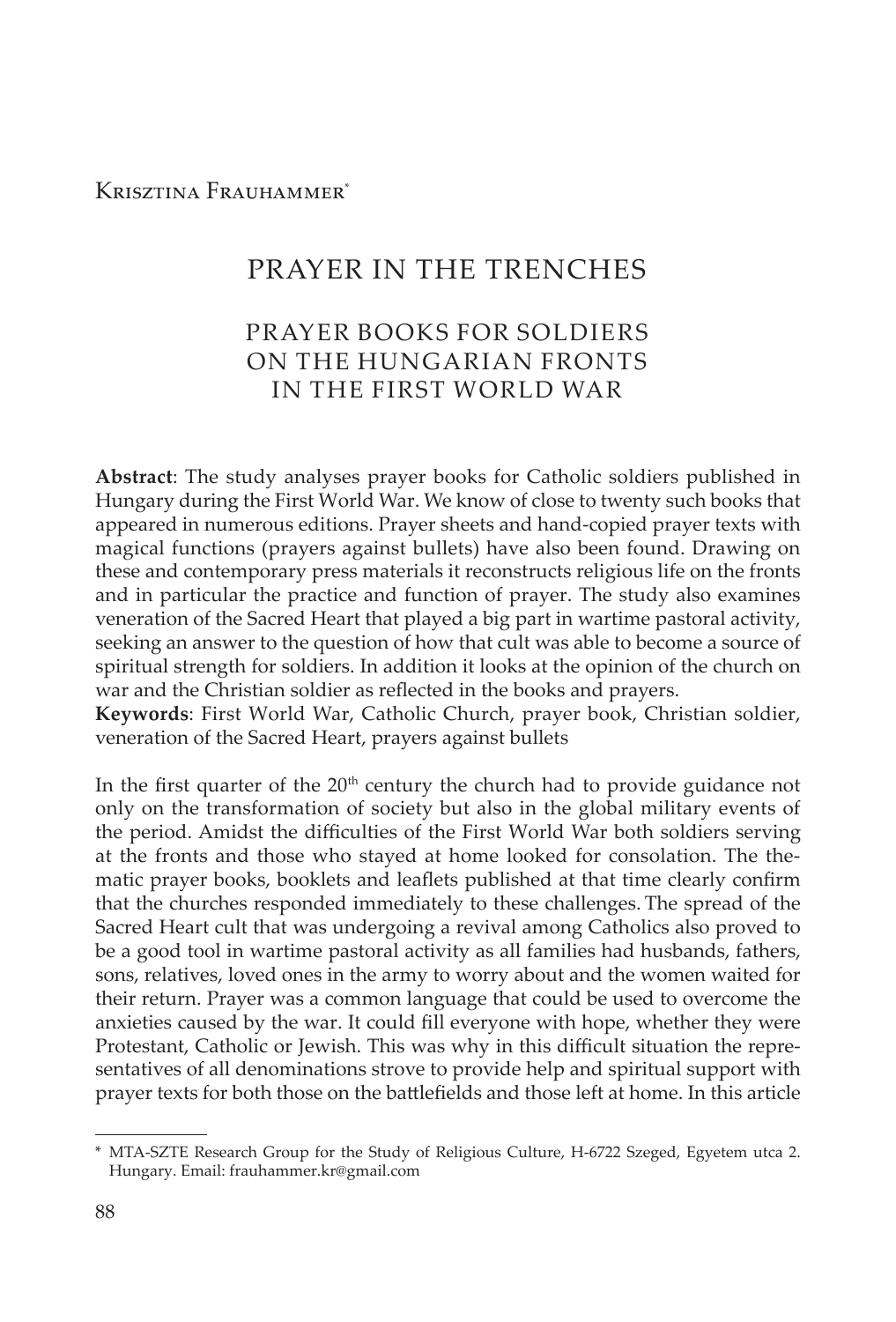Krisztina Frauhammer\*

# PRAYER IN THE TRENCHES

# PRAYER BOOKS FOR SOLDIERS ON THE HUNGARIAN FRONTS IN THE FIRST WORLD WAR

**Abstract**: The study analyses prayer books for Catholic soldiers published in Hungary during the First World War. We know of close to twenty such books that appeared in numerous editions. Prayer sheets and hand-copied prayer texts with magical functions (prayers against bullets) have also been found. Drawing on these and contemporary press materials it reconstructs religious life on the fronts and in particular the practice and function of prayer. The study also examines veneration of the Sacred Heart that played a big part in wartime pastoral activity, seeking an answer to the question of how that cult was able to become a source of spiritual strength for soldiers. In addition it looks at the opinion of the church on war and the Christian soldier as reflected in the books and prayers.

**Keywords**: First World War, Catholic Church, prayer book, Christian soldier, veneration of the Sacred Heart, prayers against bullets

In the first quarter of the  $20<sup>th</sup>$  century the church had to provide guidance not only on the transformation of society but also in the global military events of the period. Amidst the difficulties of the First World War both soldiers serving at the fronts and those who stayed at home looked for consolation. The thematic prayer books, booklets and leaflets published at that time clearly confirm that the churches responded immediately to these challenges. The spread of the Sacred Heart cult that was undergoing a revival among Catholics also proved to be a good tool in wartime pastoral activity as all families had husbands, fathers, sons, relatives, loved ones in the army to worry about and the women waited for their return. Prayer was a common language that could be used to overcome the anxieties caused by the war. It could fill everyone with hope, whether they were Protestant, Catholic or Jewish. This was why in this difficult situation the representatives of all denominations strove to provide help and spiritual support with prayer texts for both those on the battlefields and those left at home. In this article

<sup>\*</sup> MTA-SZTE Research Group for the Study of Religious Culture, H-6722 Szeged, Egyetem utca 2. Hungary. Email: frauhammer.kr@gmail.com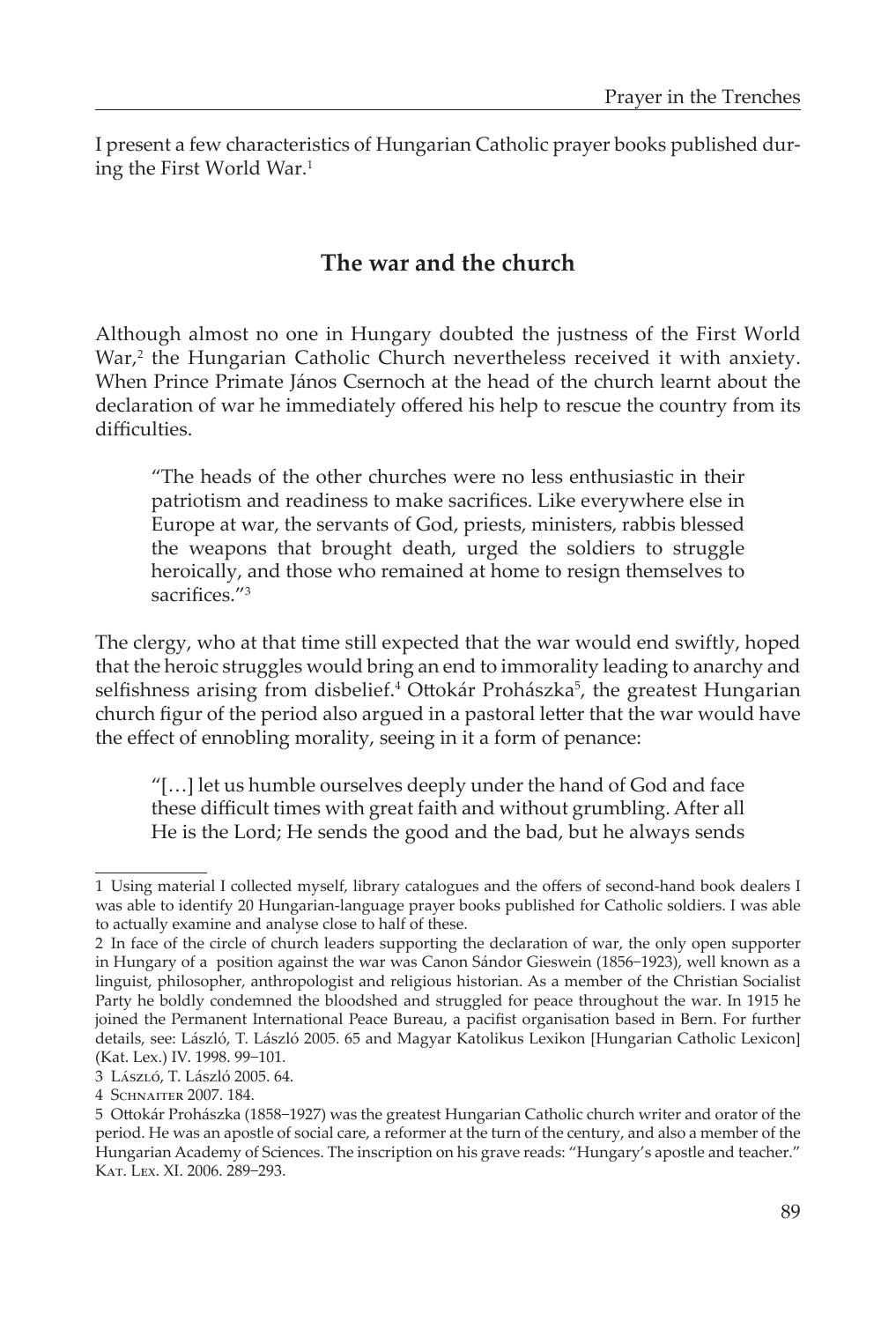I present a few characteristics of Hungarian Catholic prayer books published during the First World War.<sup>1</sup>

# **The war and the church**

Although almost no one in Hungary doubted the justness of the First World War,<sup>2</sup> the Hungarian Catholic Church nevertheless received it with anxiety. When Prince Primate János Csernoch at the head of the church learnt about the declaration of war he immediately offered his help to rescue the country from its difficulties.

"The heads of the other churches were no less enthusiastic in their patriotism and readiness to make sacrifices. Like everywhere else in Europe at war, the servants of God, priests, ministers, rabbis blessed the weapons that brought death, urged the soldiers to struggle heroically, and those who remained at home to resign themselves to sacrifices."<sup>3</sup>

The clergy, who at that time still expected that the war would end swiftly, hoped that the heroic struggles would bring an end to immorality leading to anarchy and selfishness arising from disbelief.<sup>4</sup> Ottokár Prohászka<sup>5</sup>, the greatest Hungarian church figur of the period also argued in a pastoral letter that the war would have the effect of ennobling morality, seeing in it a form of penance:

"[…] let us humble ourselves deeply under the hand of God and face these difficult times with great faith and without grumbling. After all He is the Lord; He sends the good and the bad, but he always sends

<sup>1</sup> Using material I collected myself, library catalogues and the offers of second-hand book dealers I was able to identify 20 Hungarian-language prayer books published for Catholic soldiers. I was able to actually examine and analyse close to half of these.

<sup>2</sup> In face of the circle of church leaders supporting the declaration of war, the only open supporter in Hungary of a position against the war was Canon Sándor Gieswein (1856−1923), well known as a linguist, philosopher, anthropologist and religious historian. As a member of the Christian Socialist Party he boldly condemned the bloodshed and struggled for peace throughout the war. In 1915 he joined the Permanent International Peace Bureau, a pacifist organisation based in Bern. For further details, see: László, T. László 2005. 65 and Magyar Katolikus Lexikon [Hungarian Catholic Lexicon] (Kat. Lex.) IV. 1998. 99−101.

<sup>3</sup> László, T. László 2005. 64.

<sup>4</sup> Schnaiter 2007. 184.

<sup>5</sup> Ottokár Prohászka (1858−1927) was the greatest Hungarian Catholic church writer and orator of the period. He was an apostle of social care, a reformer at the turn of the century, and also a member of the Hungarian Academy of Sciences. The inscription on his grave reads: "Hungary's apostle and teacher." Kat. Lex. XI. 2006. 289−293.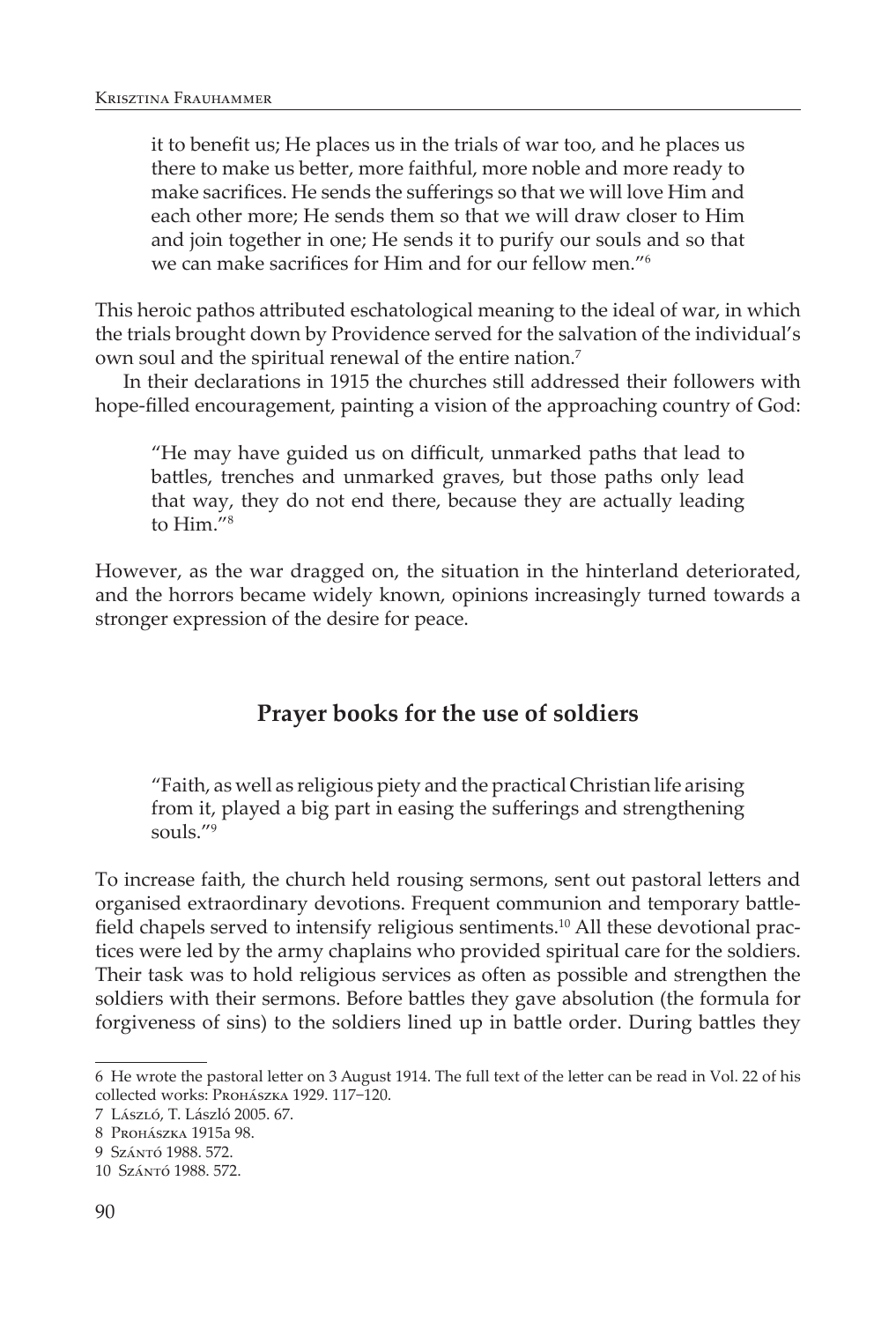it to benefit us; He places us in the trials of war too, and he places us there to make us better, more faithful, more noble and more ready to make sacrifices. He sends the sufferings so that we will love Him and each other more; He sends them so that we will draw closer to Him and join together in one; He sends it to purify our souls and so that we can make sacrifices for Him and for our fellow men."<sup>6</sup>

This heroic pathos attributed eschatological meaning to the ideal of war, in which the trials brought down by Providence served for the salvation of the individual's own soul and the spiritual renewal of the entire nation.<sup>7</sup>

In their declarations in 1915 the churches still addressed their followers with hope-filled encouragement, painting a vision of the approaching country of God:

"He may have guided us on difficult, unmarked paths that lead to battles, trenches and unmarked graves, but those paths only lead that way, they do not end there, because they are actually leading to Him."8

However, as the war dragged on, the situation in the hinterland deteriorated, and the horrors became widely known, opinions increasingly turned towards a stronger expression of the desire for peace.

# **Prayer books for the use of soldiers**

"Faith, as well as religious piety and the practical Christian life arising from it, played a big part in easing the sufferings and strengthening souls."9

To increase faith, the church held rousing sermons, sent out pastoral letters and organised extraordinary devotions. Frequent communion and temporary battlefield chapels served to intensify religious sentiments.<sup>10</sup> All these devotional practices were led by the army chaplains who provided spiritual care for the soldiers. Their task was to hold religious services as often as possible and strengthen the soldiers with their sermons. Before battles they gave absolution (the formula for forgiveness of sins) to the soldiers lined up in battle order. During battles they

<sup>6</sup> He wrote the pastoral letter on 3 August 1914. The full text of the letter can be read in Vol. 22 of his collected works: Prohászka 1929. 117−120.

<sup>7</sup> László, T. László 2005. 67.

<sup>8</sup> Prohászka 1915a 98.

<sup>9</sup> Szántó 1988. 572.

<sup>10</sup> Szántó 1988. 572.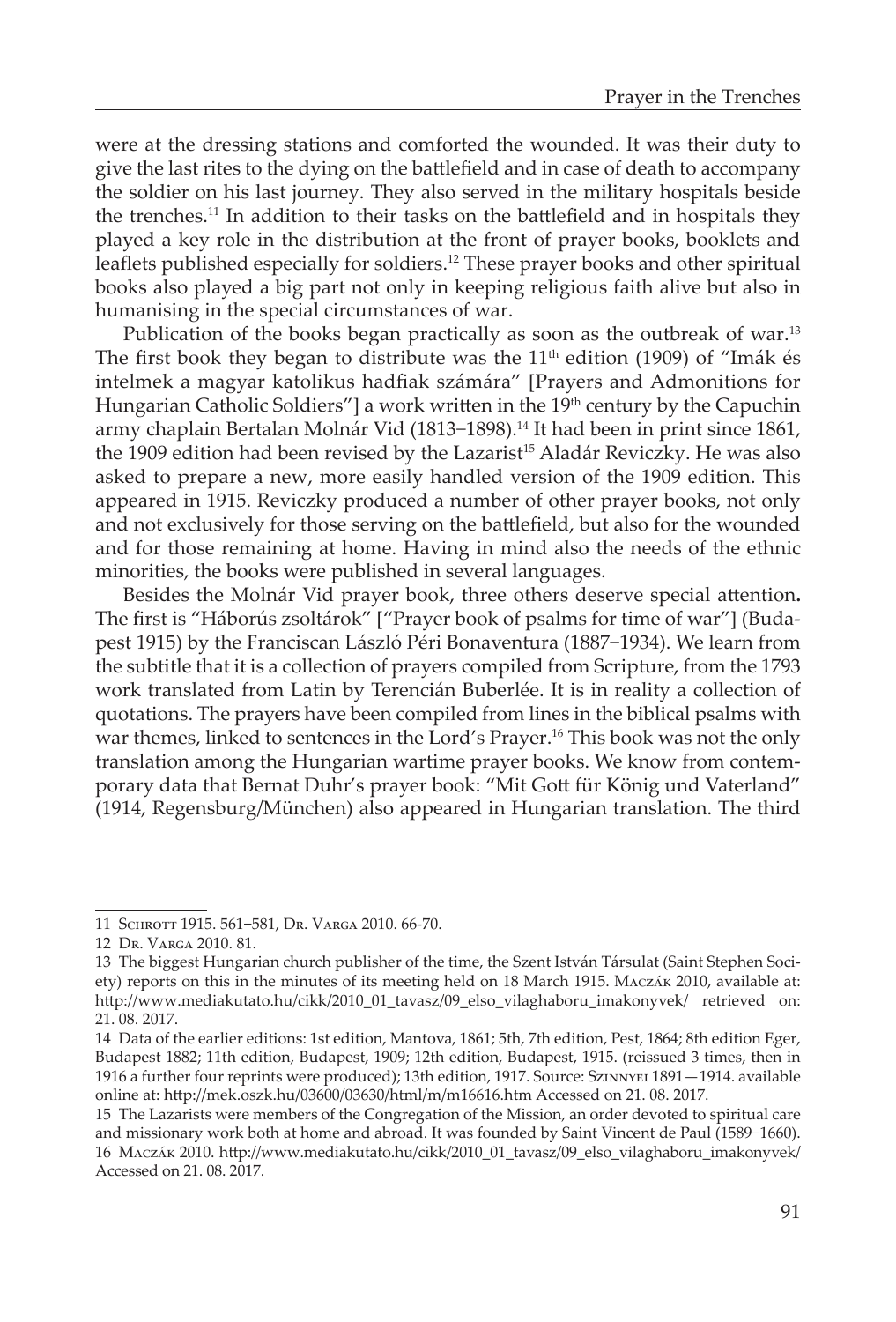were at the dressing stations and comforted the wounded. It was their duty to give the last rites to the dying on the battlefield and in case of death to accompany the soldier on his last journey. They also served in the military hospitals beside the trenches.11 In addition to their tasks on the battlefield and in hospitals they played a key role in the distribution at the front of prayer books, booklets and leaflets published especially for soldiers.<sup>12</sup> These prayer books and other spiritual books also played a big part not only in keeping religious faith alive but also in humanising in the special circumstances of war.

Publication of the books began practically as soon as the outbreak of war.<sup>13</sup> The first book they began to distribute was the  $11<sup>th</sup>$  edition (1909) of "Imák és intelmek a magyar katolikus hadfiak számára" [Prayers and Admonitions for Hungarian Catholic Soldiers"] a work written in the 19<sup>th</sup> century by the Capuchin army chaplain Bertalan Molnár Vid (1813−1898).14 It had been in print since 1861, the 1909 edition had been revised by the Lazarist<sup>15</sup> Aladár Reviczky. He was also asked to prepare a new, more easily handled version of the 1909 edition. This appeared in 1915. Reviczky produced a number of other prayer books, not only and not exclusively for those serving on the battlefield, but also for the wounded and for those remaining at home. Having in mind also the needs of the ethnic minorities, the books were published in several languages.

Besides the Molnár Vid prayer book, three others deserve special attention**.**  The first is "Háborús zsoltárok" ["Prayer book of psalms for time of war"] (Budapest 1915) by the Franciscan László Péri Bonaventura (1887−1934). We learn from the subtitle that it is a collection of prayers compiled from Scripture, from the 1793 work translated from Latin by Terencián Buberlée. It is in reality a collection of quotations. The prayers have been compiled from lines in the biblical psalms with war themes, linked to sentences in the Lord's Prayer.16 This book was not the only translation among the Hungarian wartime prayer books. We know from contemporary data that Bernat Duhr's prayer book: "Mit Gott für König und Vaterland" (1914, Regensburg/München) also appeared in Hungarian translation. The third

<sup>11</sup> Schrott 1915. 561−581, Dr. Varga 2010. 66-70.

<sup>12</sup> Dr. Varga 2010. 81.

<sup>13</sup> The biggest Hungarian church publisher of the time, the Szent István Társulat (Saint Stephen Society) reports on this in the minutes of its meeting held on 18 March 1915. Maczák 2010, available at: http://www.mediakutato.hu/cikk/2010\_01\_tavasz/09\_elso\_vilaghaboru\_imakonyvek/ retrieved on: 21. 08. 2017.

<sup>14</sup> Data of the earlier editions: 1st edition, Mantova, 1861; 5th, 7th edition, Pest, 1864; 8th edition Eger, Budapest 1882; 11th edition, Budapest, 1909; 12th edition, Budapest, 1915. (reissued 3 times, then in 1916 a further four reprints were produced); 13th edition, 1917. Source: Szinnyei 1891—1914. available online at: http://mek.oszk.hu/03600/03630/html/m/m16616.htm Accessed on 21. 08. 2017.

<sup>15</sup> The Lazarists were members of the Congregation of the Mission, an order devoted to spiritual care and missionary work both at home and abroad. It was founded by Saint Vincent de Paul (1589−1660). 16 Maczák 2010. http://www.mediakutato.hu/cikk/2010\_01\_tavasz/09\_elso\_vilaghaboru\_imakonyvek/ Accessed on 21. 08. 2017.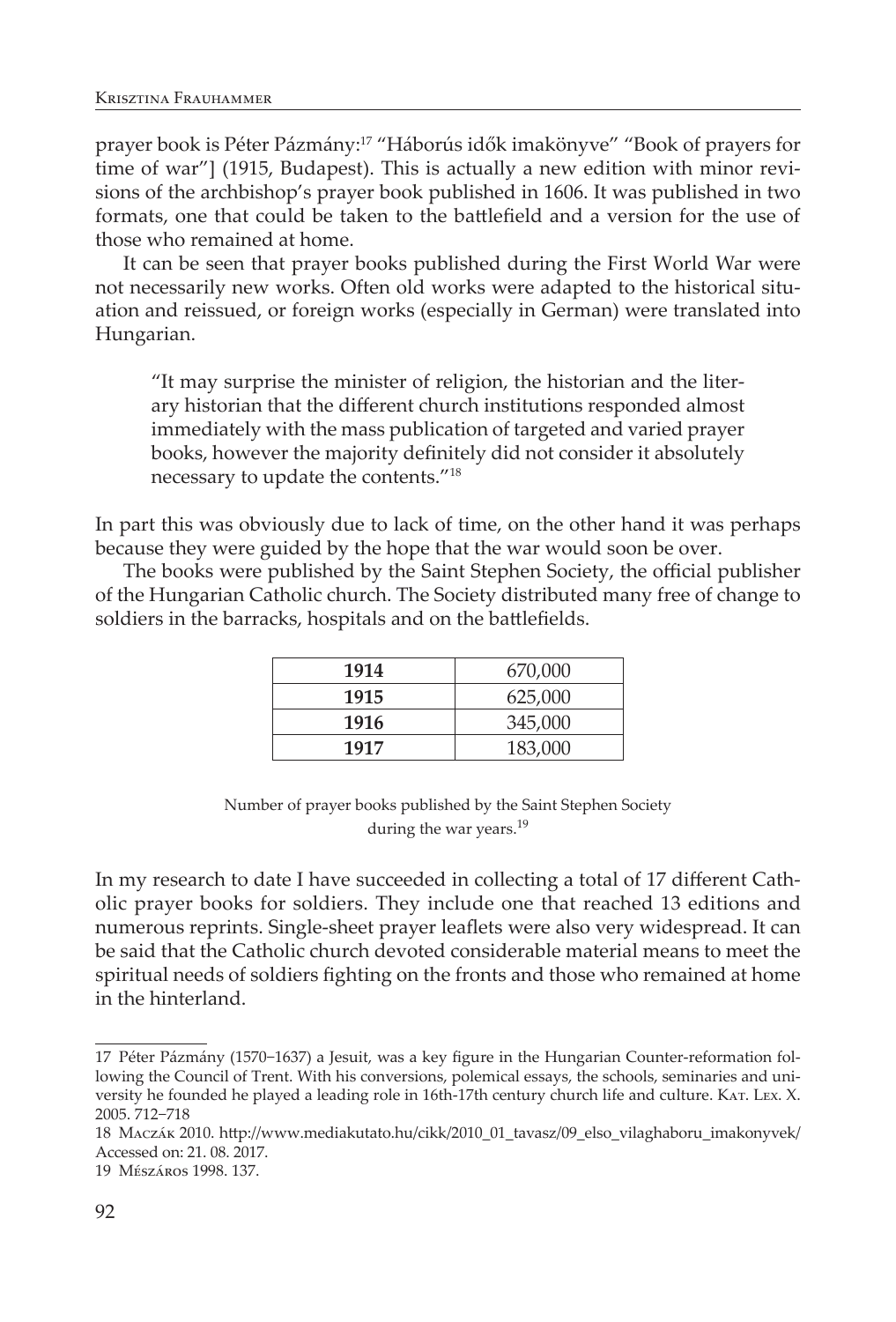prayer book is Péter Pázmány:17 "Háborús idők imakönyve" "Book of prayers for time of war"] (1915, Budapest). This is actually a new edition with minor revisions of the archbishop's prayer book published in 1606. It was published in two formats, one that could be taken to the battlefield and a version for the use of those who remained at home.

It can be seen that prayer books published during the First World War were not necessarily new works. Often old works were adapted to the historical situation and reissued, or foreign works (especially in German) were translated into Hungarian.

"It may surprise the minister of religion, the historian and the literary historian that the different church institutions responded almost immediately with the mass publication of targeted and varied prayer books, however the majority definitely did not consider it absolutely necessary to update the contents."18

In part this was obviously due to lack of time, on the other hand it was perhaps because they were guided by the hope that the war would soon be over.

The books were published by the Saint Stephen Society, the official publisher of the Hungarian Catholic church. The Society distributed many free of change to soldiers in the barracks, hospitals and on the battlefields.

| 1914 | 670,000 |
|------|---------|
| 1915 | 625,000 |
| 1916 | 345,000 |
| 1917 | 183,000 |

Number of prayer books published by the Saint Stephen Society during the war years.<sup>19</sup>

In my research to date I have succeeded in collecting a total of 17 different Catholic prayer books for soldiers. They include one that reached 13 editions and numerous reprints. Single-sheet prayer leaflets were also very widespread. It can be said that the Catholic church devoted considerable material means to meet the spiritual needs of soldiers fighting on the fronts and those who remained at home in the hinterland.

<sup>17</sup> Péter Pázmány (1570−1637) a Jesuit, was a key figure in the Hungarian Counter-reformation following the Council of Trent. With his conversions, polemical essays, the schools, seminaries and university he founded he played a leading role in 16th-17th century church life and culture. KAT. LEX. X. 2005. 712−718

<sup>18</sup> Maczák 2010. http://www.mediakutato.hu/cikk/2010\_01\_tavasz/09\_elso\_vilaghaboru\_imakonyvek/ Accessed on: 21. 08. 2017.

<sup>19</sup> Mészáros 1998. 137.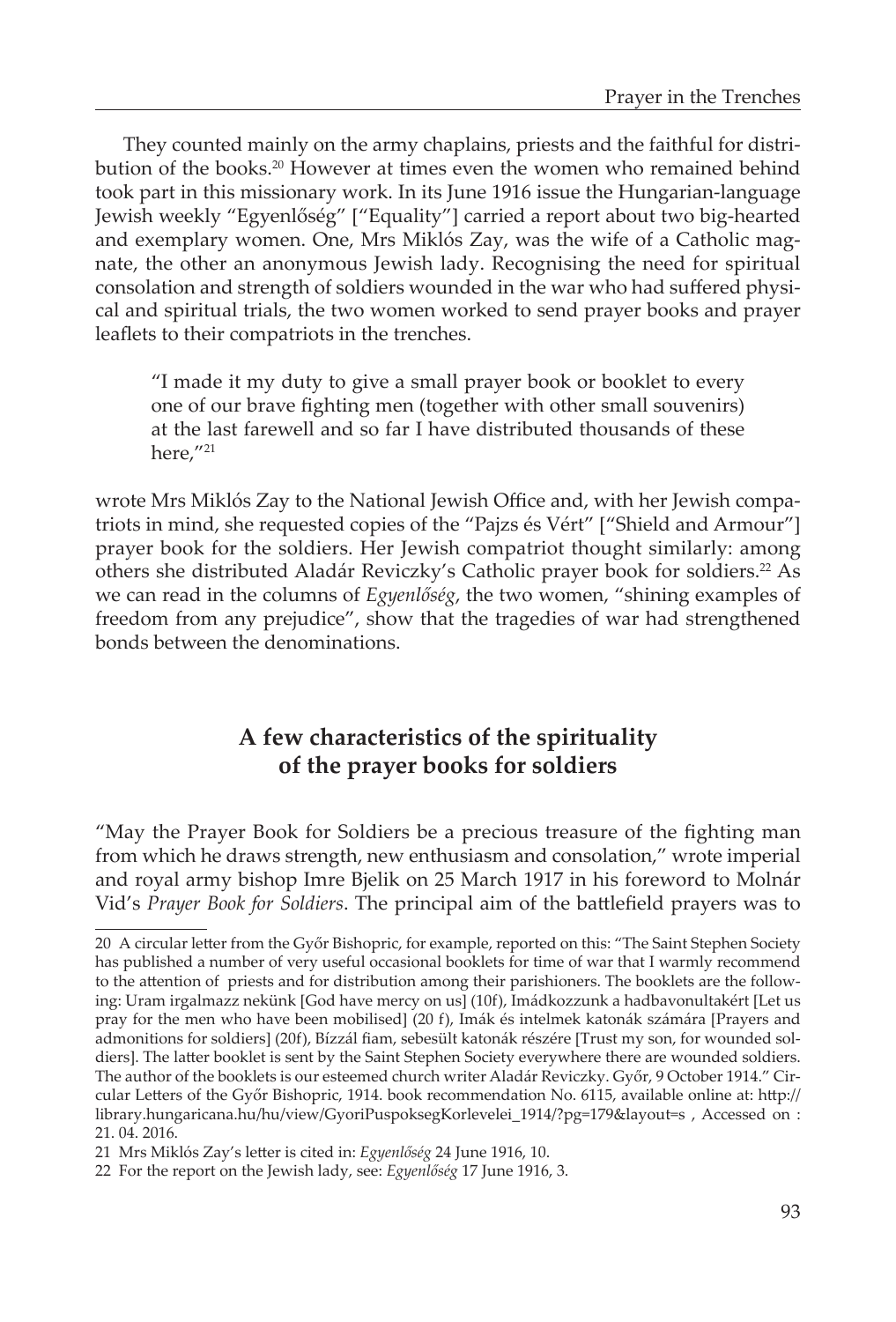They counted mainly on the army chaplains, priests and the faithful for distribution of the books.<sup>20</sup> However at times even the women who remained behind took part in this missionary work. In its June 1916 issue the Hungarian-language Jewish weekly "Egyenlőség" ["Equality"] carried a report about two big-hearted and exemplary women. One, Mrs Miklós Zay, was the wife of a Catholic magnate, the other an anonymous Jewish lady. Recognising the need for spiritual consolation and strength of soldiers wounded in the war who had suffered physical and spiritual trials, the two women worked to send prayer books and prayer leaflets to their compatriots in the trenches.

"I made it my duty to give a small prayer book or booklet to every one of our brave fighting men (together with other small souvenirs) at the last farewell and so far I have distributed thousands of these here,"21

wrote Mrs Miklós Zay to the National Jewish Office and, with her Jewish compatriots in mind, she requested copies of the "Pajzs és Vért" ["Shield and Armour"] prayer book for the soldiers. Her Jewish compatriot thought similarly: among others she distributed Aladár Reviczky's Catholic prayer book for soldiers.<sup>22</sup> As we can read in the columns of *Egyenlőség*, the two women, "shining examples of freedom from any prejudice", show that the tragedies of war had strengthened bonds between the denominations.

# **A few characteristics of the spirituality of the prayer books for soldiers**

"May the Prayer Book for Soldiers be a precious treasure of the fighting man from which he draws strength, new enthusiasm and consolation," wrote imperial and royal army bishop Imre Bjelik on 25 March 1917 in his foreword to Molnár Vid's *Prayer Book for Soldiers*. The principal aim of the battlefield prayers was to

<sup>20</sup> A circular letter from the Győr Bishopric, for example, reported on this: "The Saint Stephen Society has published a number of very useful occasional booklets for time of war that I warmly recommend to the attention of priests and for distribution among their parishioners. The booklets are the following: Uram irgalmazz nekünk [God have mercy on us] (10f), Imádkozzunk a hadbavonultakért [Let us pray for the men who have been mobilised] (20 f), Imák és intelmek katonák számára [Prayers and admonitions for soldiers] (20f), Bízzál fiam, sebesült katonák részére [Trust my son, for wounded soldiers]. The latter booklet is sent by the Saint Stephen Society everywhere there are wounded soldiers. The author of the booklets is our esteemed church writer Aladár Reviczky. Győr, 9 October 1914." Circular Letters of the Győr Bishopric, 1914. book recommendation No. 6115, available online at: http:// library.hungaricana.hu/hu/view/GyoriPuspoksegKorlevelei\_1914/?pg=179&layout=s , Accessed on : 21. 04. 2016.

<sup>21</sup> Mrs Miklós Zay's letter is cited in: *Egyenlőség* 24 June 1916, 10.

<sup>22</sup> For the report on the Jewish lady, see: *Egyenlőség* 17 June 1916, 3.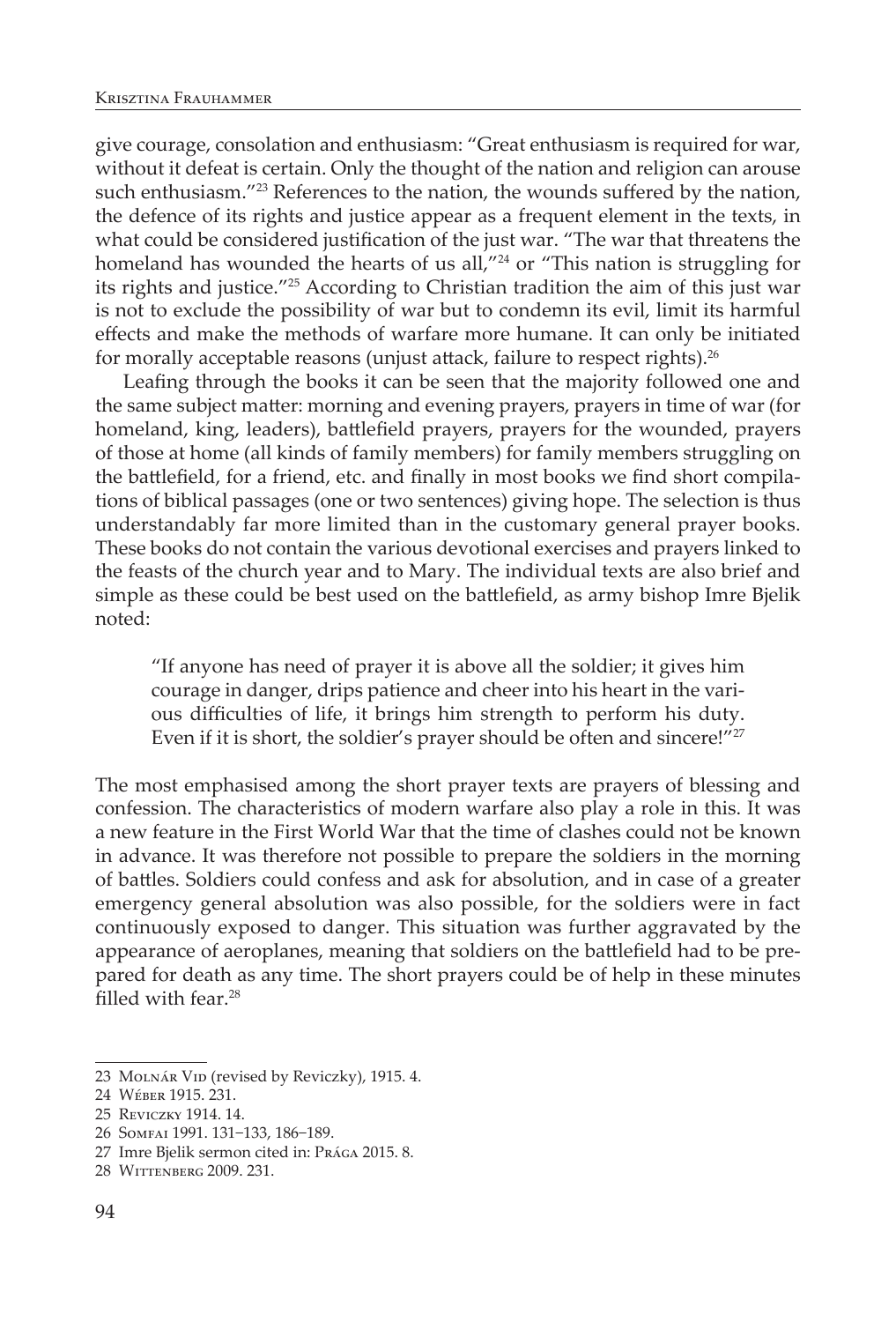give courage, consolation and enthusiasm: "Great enthusiasm is required for war, without it defeat is certain. Only the thought of the nation and religion can arouse such enthusiasm."<sup>23</sup> References to the nation, the wounds suffered by the nation, the defence of its rights and justice appear as a frequent element in the texts, in what could be considered justification of the just war. "The war that threatens the homeland has wounded the hearts of us all,"<sup>24</sup> or "This nation is struggling for its rights and justice."25 According to Christian tradition the aim of this just war is not to exclude the possibility of war but to condemn its evil, limit its harmful effects and make the methods of warfare more humane. It can only be initiated for morally acceptable reasons (unjust attack, failure to respect rights).<sup>26</sup>

Leafing through the books it can be seen that the majority followed one and the same subject matter: morning and evening prayers, prayers in time of war (for homeland, king, leaders), battlefield prayers, prayers for the wounded, prayers of those at home (all kinds of family members) for family members struggling on the battlefield, for a friend, etc. and finally in most books we find short compilations of biblical passages (one or two sentences) giving hope. The selection is thus understandably far more limited than in the customary general prayer books. These books do not contain the various devotional exercises and prayers linked to the feasts of the church year and to Mary. The individual texts are also brief and simple as these could be best used on the battlefield, as army bishop Imre Bjelik noted:

"If anyone has need of prayer it is above all the soldier; it gives him courage in danger, drips patience and cheer into his heart in the various difficulties of life, it brings him strength to perform his duty. Even if it is short, the soldier's prayer should be often and sincere!"<sup>27</sup>

The most emphasised among the short prayer texts are prayers of blessing and confession. The characteristics of modern warfare also play a role in this. It was a new feature in the First World War that the time of clashes could not be known in advance. It was therefore not possible to prepare the soldiers in the morning of battles. Soldiers could confess and ask for absolution, and in case of a greater emergency general absolution was also possible, for the soldiers were in fact continuously exposed to danger. This situation was further aggravated by the appearance of aeroplanes, meaning that soldiers on the battlefield had to be prepared for death as any time. The short prayers could be of help in these minutes filled with fear.<sup>28</sup>

26 Somfai 1991. 131−133, 186−189.

<sup>23</sup> MOLNÁR VID (revised by Reviczky), 1915. 4.

<sup>24</sup> Wéber 1915. 231.

<sup>25</sup> Reviczky 1914. 14.

<sup>27</sup> Imre Bjelik sermon cited in: Prága 2015. 8.

<sup>28</sup> Wittenberg 2009. 231.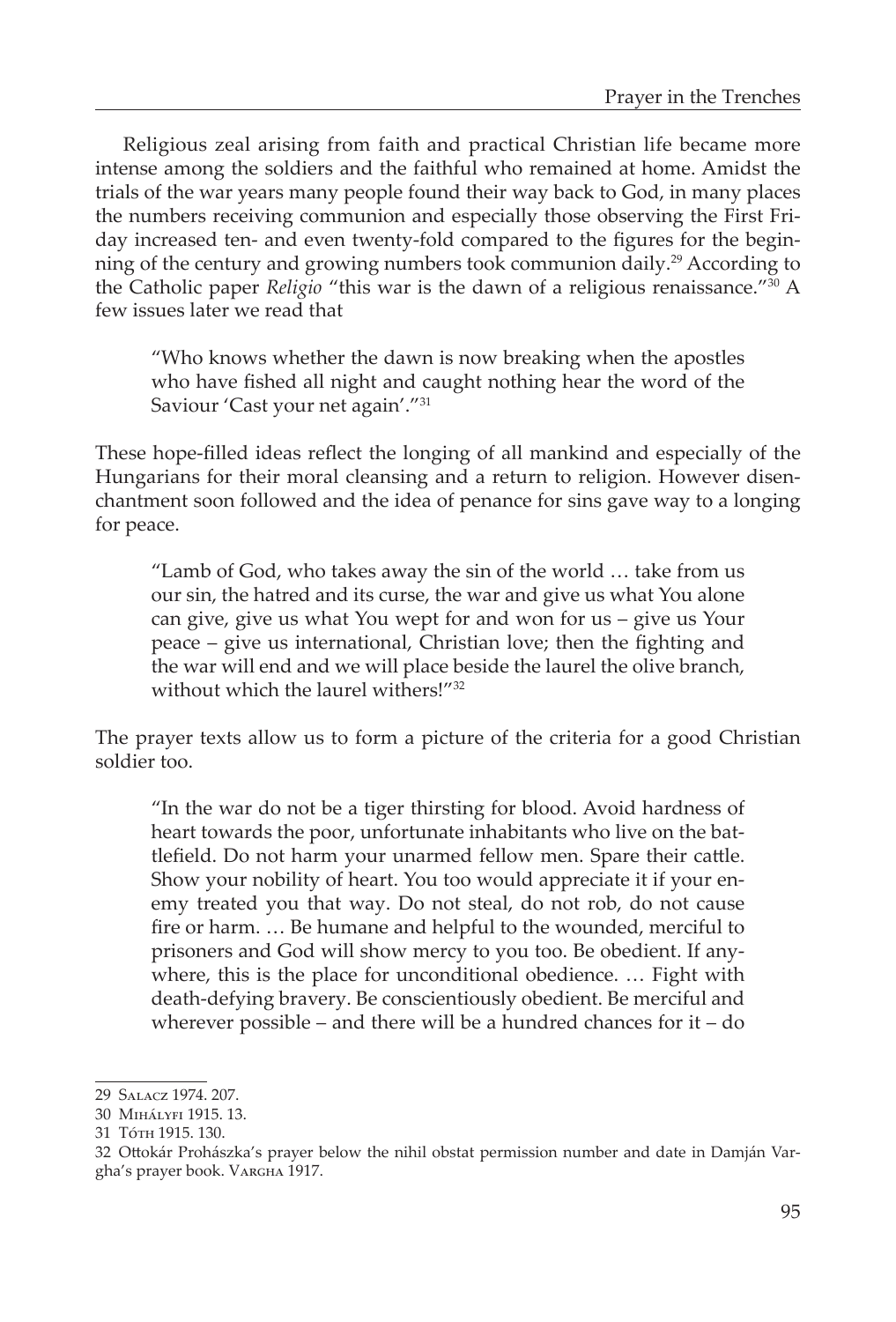Religious zeal arising from faith and practical Christian life became more intense among the soldiers and the faithful who remained at home. Amidst the trials of the war years many people found their way back to God, in many places the numbers receiving communion and especially those observing the First Friday increased ten- and even twenty-fold compared to the figures for the beginning of the century and growing numbers took communion daily.29 According to the Catholic paper *Religio* "this war is the dawn of a religious renaissance."30 A few issues later we read that

"Who knows whether the dawn is now breaking when the apostles who have fished all night and caught nothing hear the word of the Saviour 'Cast your net again'."31

These hope-filled ideas reflect the longing of all mankind and especially of the Hungarians for their moral cleansing and a return to religion. However disenchantment soon followed and the idea of penance for sins gave way to a longing for peace.

"Lamb of God, who takes away the sin of the world … take from us our sin, the hatred and its curse, the war and give us what You alone can give, give us what You wept for and won for us – give us Your peace – give us international, Christian love; then the fighting and the war will end and we will place beside the laurel the olive branch, without which the laurel withers!"32

The prayer texts allow us to form a picture of the criteria for a good Christian soldier too.

"In the war do not be a tiger thirsting for blood. Avoid hardness of heart towards the poor, unfortunate inhabitants who live on the battlefield. Do not harm your unarmed fellow men. Spare their cattle. Show your nobility of heart. You too would appreciate it if your enemy treated you that way. Do not steal, do not rob, do not cause fire or harm. … Be humane and helpful to the wounded, merciful to prisoners and God will show mercy to you too. Be obedient. If anywhere, this is the place for unconditional obedience. … Fight with death-defying bravery. Be conscientiously obedient. Be merciful and wherever possible – and there will be a hundred chances for it – do

<sup>29</sup> Salacz 1974. 207.

<sup>30</sup> Mihályfi 1915. 13.

<sup>31</sup> Tóth 1915. 130.

<sup>32</sup> Ottokár Prohászka's prayer below the nihil obstat permission number and date in Damján Vargha's prayer book. Vargha 1917.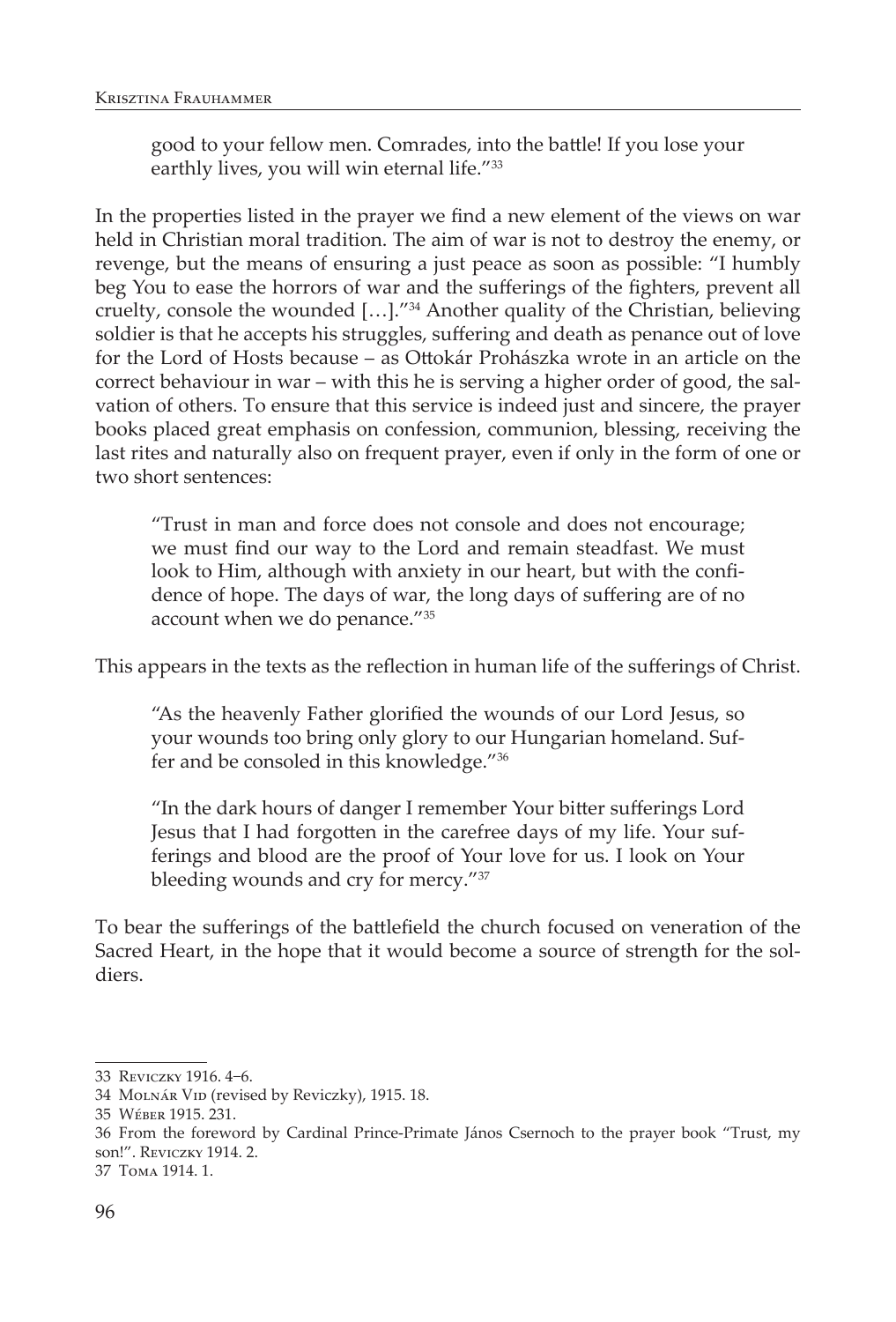good to your fellow men. Comrades, into the battle! If you lose your earthly lives, you will win eternal life."<sup>33</sup>

In the properties listed in the prayer we find a new element of the views on war held in Christian moral tradition. The aim of war is not to destroy the enemy, or revenge, but the means of ensuring a just peace as soon as possible: "I humbly beg You to ease the horrors of war and the sufferings of the fighters, prevent all cruelty, console the wounded […]."34 Another quality of the Christian, believing soldier is that he accepts his struggles, suffering and death as penance out of love for the Lord of Hosts because – as Ottokár Prohászka wrote in an article on the correct behaviour in war – with this he is serving a higher order of good, the salvation of others. To ensure that this service is indeed just and sincere, the prayer books placed great emphasis on confession, communion, blessing, receiving the last rites and naturally also on frequent prayer, even if only in the form of one or two short sentences:

"Trust in man and force does not console and does not encourage; we must find our way to the Lord and remain steadfast. We must look to Him, although with anxiety in our heart, but with the confidence of hope. The days of war, the long days of suffering are of no account when we do penance."35

This appears in the texts as the reflection in human life of the sufferings of Christ.

"As the heavenly Father glorified the wounds of our Lord Jesus, so your wounds too bring only glory to our Hungarian homeland. Suffer and be consoled in this knowledge."36

"In the dark hours of danger I remember Your bitter sufferings Lord Jesus that I had forgotten in the carefree days of my life. Your sufferings and blood are the proof of Your love for us. I look on Your bleeding wounds and cry for mercy."37

To bear the sufferings of the battlefield the church focused on veneration of the Sacred Heart, in the hope that it would become a source of strength for the soldiers.

<sup>33</sup> Reviczky 1916. 4−6.

<sup>34</sup> MOLNÁR VID (revised by Reviczky), 1915. 18.

<sup>35</sup> Wéber 1915. 231.

<sup>36</sup> From the foreword by Cardinal Prince-Primate János Csernoch to the prayer book "Trust, my son!". Reviczky 1914. 2.

<sup>37</sup> Toma 1914. 1.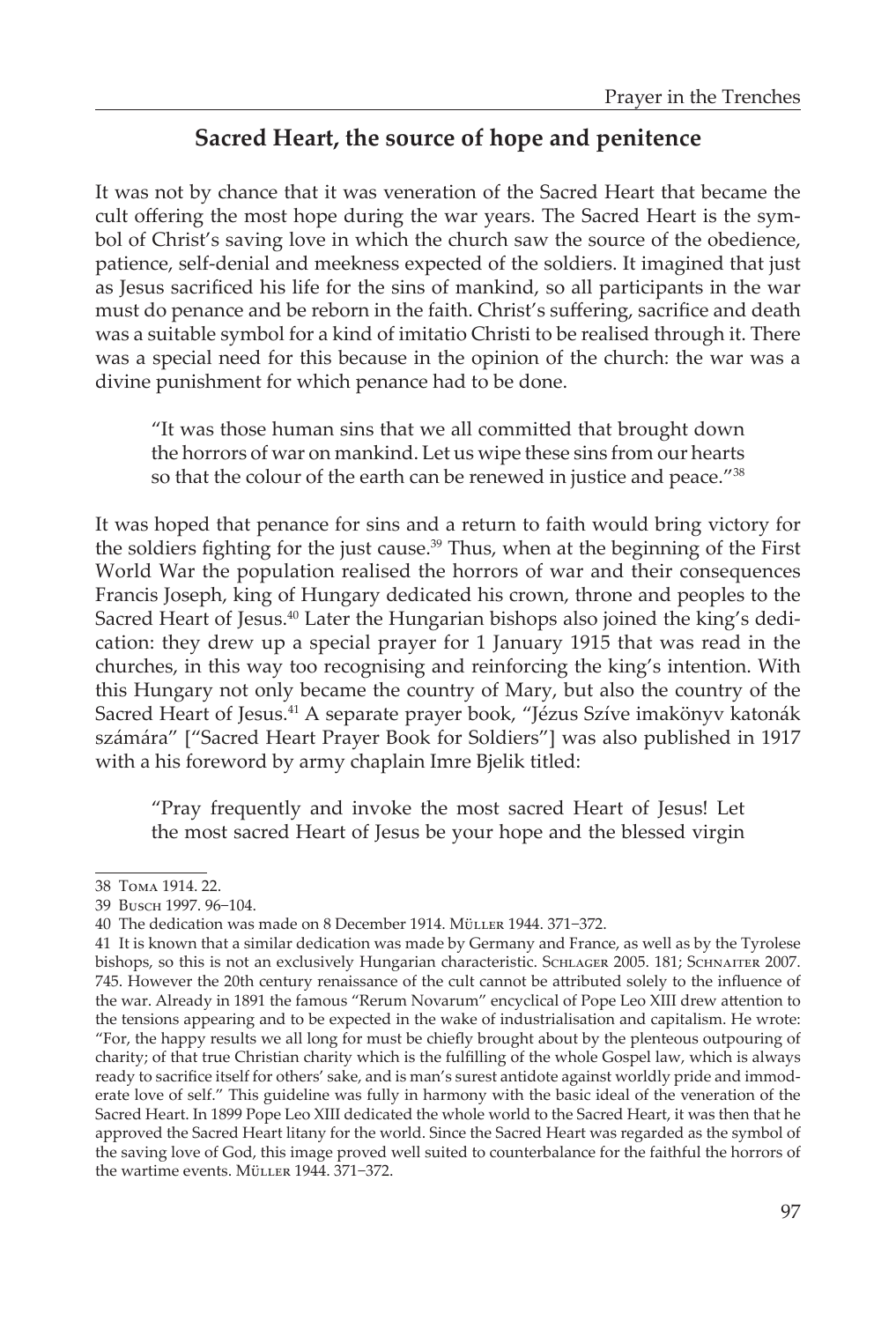# **Sacred Heart, the source of hope and penitence**

It was not by chance that it was veneration of the Sacred Heart that became the cult offering the most hope during the war years. The Sacred Heart is the symbol of Christ's saving love in which the church saw the source of the obedience, patience, self-denial and meekness expected of the soldiers. It imagined that just as Jesus sacrificed his life for the sins of mankind, so all participants in the war must do penance and be reborn in the faith. Christ's suffering, sacrifice and death was a suitable symbol for a kind of imitatio Christi to be realised through it. There was a special need for this because in the opinion of the church: the war was a divine punishment for which penance had to be done.

"It was those human sins that we all committed that brought down the horrors of war on mankind. Let us wipe these sins from our hearts so that the colour of the earth can be renewed in justice and peace."<sup>38</sup>

It was hoped that penance for sins and a return to faith would bring victory for the soldiers fighting for the just cause. $39$  Thus, when at the beginning of the First World War the population realised the horrors of war and their consequences Francis Joseph, king of Hungary dedicated his crown, throne and peoples to the Sacred Heart of Jesus.<sup>40</sup> Later the Hungarian bishops also joined the king's dedication: they drew up a special prayer for 1 January 1915 that was read in the churches, in this way too recognising and reinforcing the king's intention. With this Hungary not only became the country of Mary, but also the country of the Sacred Heart of Jesus.<sup>41</sup> A separate prayer book, "Jézus Szíve imakönyv katonák számára" ["Sacred Heart Prayer Book for Soldiers"] was also published in 1917 with a his foreword by army chaplain Imre Bjelik titled:

"Pray frequently and invoke the most sacred Heart of Jesus! Let the most sacred Heart of Jesus be your hope and the blessed virgin

<sup>38</sup> Toma 1914. 22.

<sup>39</sup> Busch 1997. 96−104.

<sup>40</sup> The dedication was made on 8 December 1914. Müller 1944. 371−372.

<sup>41</sup> It is known that a similar dedication was made by Germany and France, as well as by the Tyrolese bishops, so this is not an exclusively Hungarian characteristic. SCHLAGER 2005. 181; SCHNAITER 2007. 745. However the 20th century renaissance of the cult cannot be attributed solely to the influence of the war. Already in 1891 the famous "Rerum Novarum" encyclical of Pope Leo XIII drew attention to the tensions appearing and to be expected in the wake of industrialisation and capitalism. He wrote: "For, the happy results we all long for must be chiefly brought about by the plenteous outpouring of charity; of that true Christian charity which is the fulfilling of the whole Gospel law, which is always ready to sacrifice itself for others' sake, and is man's surest antidote against worldly pride and immoderate love of self." This guideline was fully in harmony with the basic ideal of the veneration of the Sacred Heart. In 1899 Pope Leo XIII dedicated the whole world to the Sacred Heart, it was then that he approved the Sacred Heart litany for the world. Since the Sacred Heart was regarded as the symbol of the saving love of God, this image proved well suited to counterbalance for the faithful the horrors of the wartime events. Müller 1944. 371−372.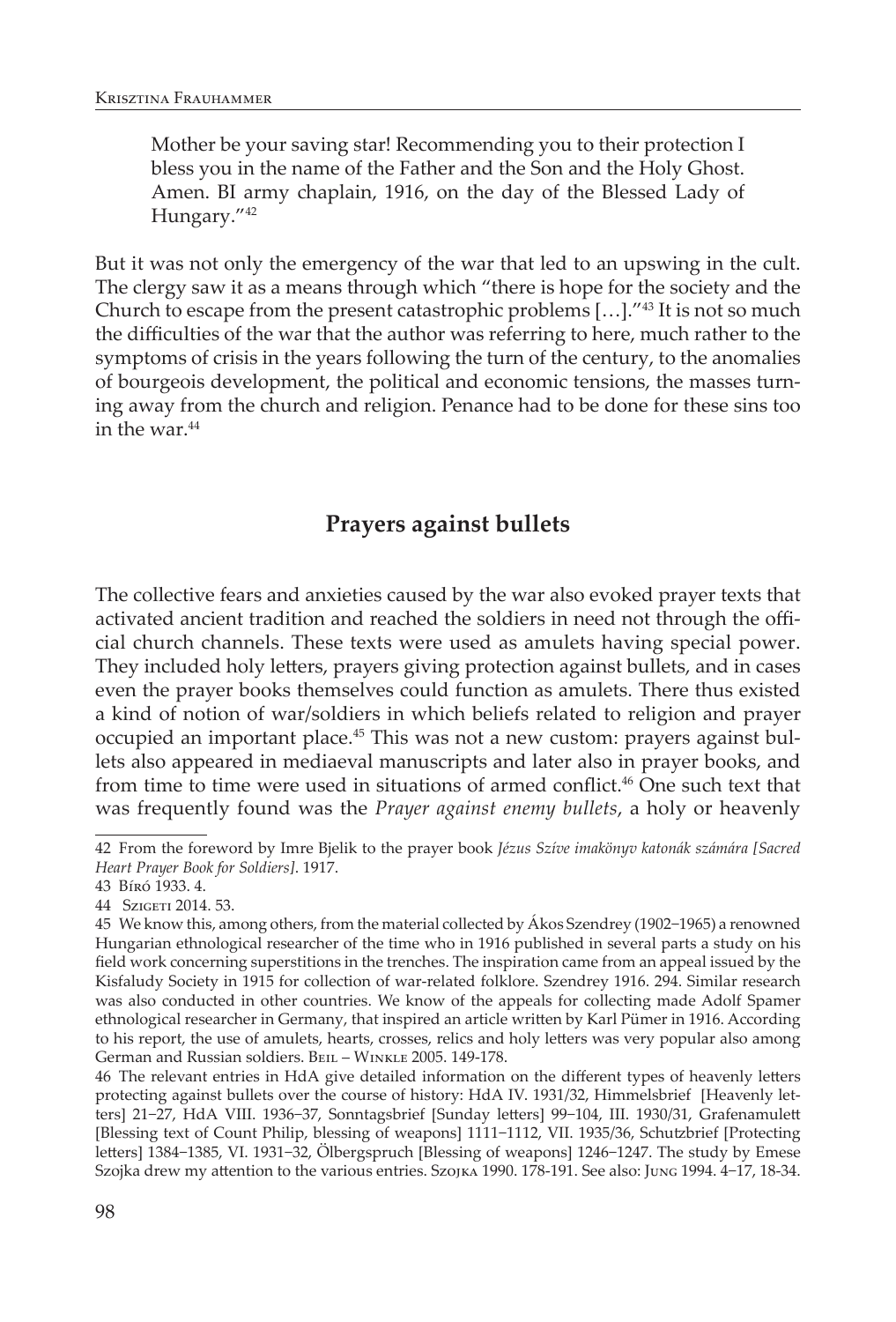Mother be your saving star! Recommending you to their protection I bless you in the name of the Father and the Son and the Holy Ghost. Amen. BI army chaplain, 1916, on the day of the Blessed Lady of Hungary."42

But it was not only the emergency of the war that led to an upswing in the cult. The clergy saw it as a means through which "there is hope for the society and the Church to escape from the present catastrophic problems  $[\ldots]$ ."<sup>43</sup> It is not so much the difficulties of the war that the author was referring to here, much rather to the symptoms of crisis in the years following the turn of the century, to the anomalies of bourgeois development, the political and economic tensions, the masses turning away from the church and religion. Penance had to be done for these sins too in the war.<sup>44</sup>

## **Prayers against bullets**

The collective fears and anxieties caused by the war also evoked prayer texts that activated ancient tradition and reached the soldiers in need not through the official church channels. These texts were used as amulets having special power. They included holy letters, prayers giving protection against bullets, and in cases even the prayer books themselves could function as amulets. There thus existed a kind of notion of war/soldiers in which beliefs related to religion and prayer occupied an important place.45 This was not a new custom: prayers against bullets also appeared in mediaeval manuscripts and later also in prayer books, and from time to time were used in situations of armed conflict.<sup>46</sup> One such text that was frequently found was the *Prayer against enemy bullets*, a holy or heavenly

46 The relevant entries in HdA give detailed information on the different types of heavenly letters protecting against bullets over the course of history: HdA IV. 1931/32, Himmelsbrief [Heavenly letters] 21−27, HdA VIII. 1936−37, Sonntagsbrief [Sunday letters] 99−104, III. 1930/31, Grafenamulett [Blessing text of Count Philip, blessing of weapons] 1111−1112, VII. 1935/36, Schutzbrief [Protecting letters] 1384−1385, VI. 1931−32, Ölbergspruch [Blessing of weapons] 1246−1247. The study by Emese Szojka drew my attention to the various entries. Szojka 1990. 178-191. See also: Jung 1994. 4−17, 18-34.

<sup>42</sup> From the foreword by Imre Bjelik to the prayer book *Jézus Szíve imakönyv katonák számára [Sacred Heart Prayer Book for Soldiers]*. 1917.

<sup>43</sup> Bíró 1933. 4.

<sup>44</sup> Szigeti 2014. 53.

<sup>45</sup> We know this, among others, from the material collected by Ákos Szendrey (1902−1965) a renowned Hungarian ethnological researcher of the time who in 1916 published in several parts a study on his field work concerning superstitions in the trenches. The inspiration came from an appeal issued by the Kisfaludy Society in 1915 for collection of war-related folklore. Szendrey 1916. 294. Similar research was also conducted in other countries. We know of the appeals for collecting made Adolf Spamer ethnological researcher in Germany, that inspired an article written by Karl Pümer in 1916. According to his report, the use of amulets, hearts, crosses, relics and holy letters was very popular also among German and Russian soldiers. Beil – Winkle 2005. 149-178.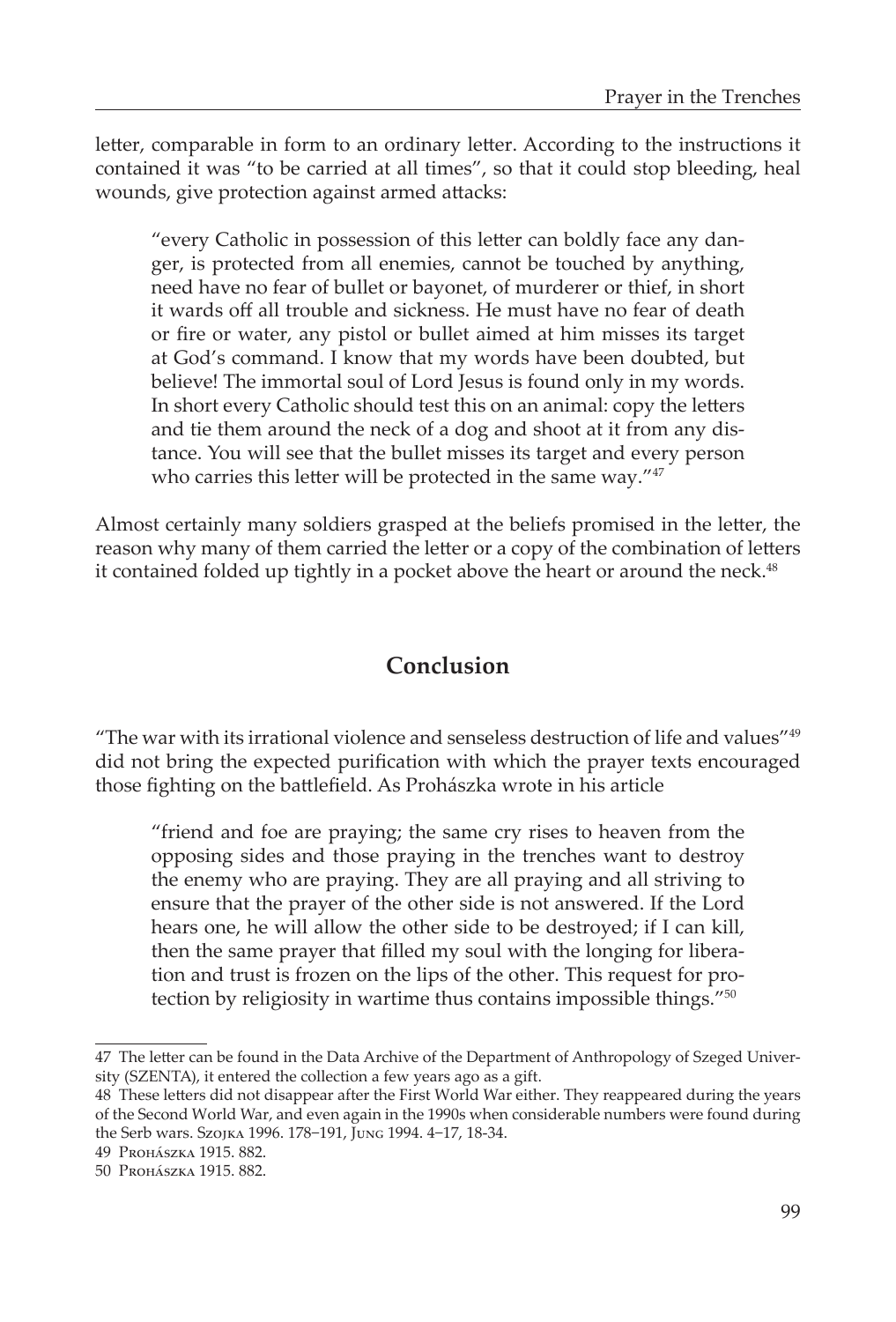letter, comparable in form to an ordinary letter. According to the instructions it contained it was "to be carried at all times", so that it could stop bleeding, heal wounds, give protection against armed attacks:

"every Catholic in possession of this letter can boldly face any danger, is protected from all enemies, cannot be touched by anything, need have no fear of bullet or bayonet, of murderer or thief, in short it wards off all trouble and sickness. He must have no fear of death or fire or water, any pistol or bullet aimed at him misses its target at God's command. I know that my words have been doubted, but believe! The immortal soul of Lord Jesus is found only in my words. In short every Catholic should test this on an animal: copy the letters and tie them around the neck of a dog and shoot at it from any distance. You will see that the bullet misses its target and every person who carries this letter will be protected in the same way."47

Almost certainly many soldiers grasped at the beliefs promised in the letter, the reason why many of them carried the letter or a copy of the combination of letters it contained folded up tightly in a pocket above the heart or around the neck.<sup>48</sup>

# **Conclusion**

"The war with its irrational violence and senseless destruction of life and values" $49$ did not bring the expected purification with which the prayer texts encouraged those fighting on the battlefield. As Prohászka wrote in his article

"friend and foe are praying; the same cry rises to heaven from the opposing sides and those praying in the trenches want to destroy the enemy who are praying. They are all praying and all striving to ensure that the prayer of the other side is not answered. If the Lord hears one, he will allow the other side to be destroyed; if I can kill, then the same prayer that filled my soul with the longing for liberation and trust is frozen on the lips of the other. This request for protection by religiosity in wartime thus contains impossible things."50

<sup>47</sup> The letter can be found in the Data Archive of the Department of Anthropology of Szeged University (SZENTA), it entered the collection a few years ago as a gift.

<sup>48</sup> These letters did not disappear after the First World War either. They reappeared during the years of the Second World War, and even again in the 1990s when considerable numbers were found during the Serb wars. Szojka 1996. 178−191, Jung 1994. 4−17, 18-34.

<sup>49</sup> Prohászka 1915. 882.

<sup>50</sup> Prohászka 1915. 882.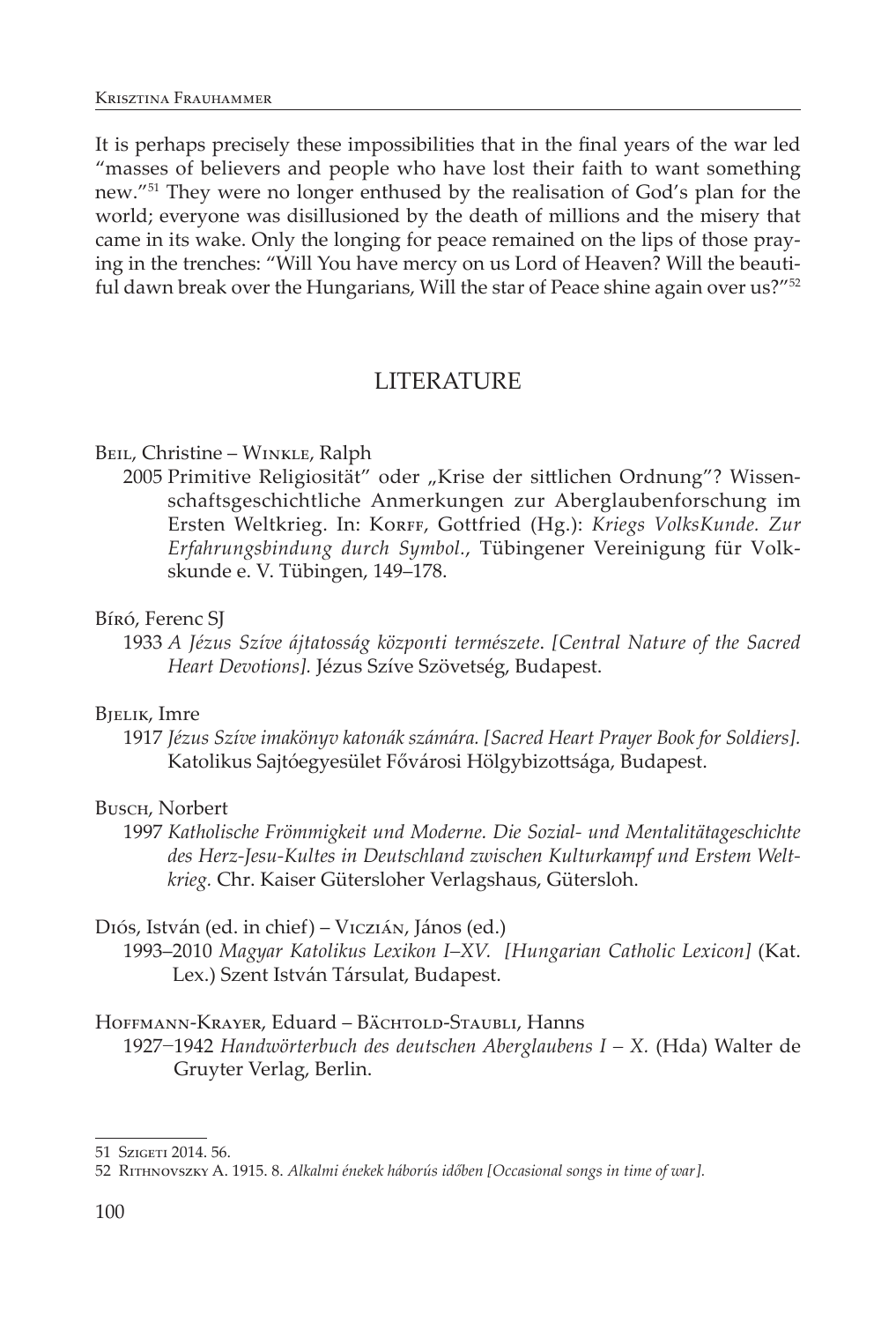It is perhaps precisely these impossibilities that in the final years of the war led "masses of believers and people who have lost their faith to want something new."51 They were no longer enthused by the realisation of God's plan for the world; everyone was disillusioned by the death of millions and the misery that came in its wake. Only the longing for peace remained on the lips of those praying in the trenches: "Will You have mercy on us Lord of Heaven? Will the beautiful dawn break over the Hungarians, Will the star of Peace shine again over us?"<sup>52</sup>

## LITERATURE

## BEIL, Christine – WINKLE, Ralph

2005 Primitive Religiosität" oder "Krise der sittlichen Ordnung"? Wissenschaftsgeschichtliche Anmerkungen zur Aberglaubenforschung im Ersten Weltkrieg. In: Korff, Gottfried (Hg.): Kriegs VolksKunde. Zur *Erfahrungsbindung durch Symbol.*, Tübingener Vereinigung für Volkskunde e. V. Tübingen, 149–178.

## Bíró, Ferenc SJ

1933 *A Jézus Szíve ájtatosság központi természete*. *[Central Nature of the Sacred Heart Devotions].* Jézus Szíve Szövetség, Budapest.

## Bjelik, Imre

1917 *Jézus Szíve imakönyv katonák számára. [Sacred Heart Prayer Book for Soldiers].* Katolikus Sajtóegyesület Fővárosi Hölgybizottsága, Budapest.

## Busch, Norbert

1997 *Katholische Frömmigkeit und Moderne. Die Sozial- und Mentalitätageschichte des Herz-Jesu-Kultes in Deutschland zwischen Kulturkampf und Erstem Weltkrieg.* Chr. Kaiser Gütersloher Verlagshaus, Gütersloh.

## Diós, István (ed. in chief) – Viczián, János (ed.)

1993–2010 *Magyar Katolikus Lexikon I–XV. [Hungarian Catholic Lexicon]* (Kat. Lex.) Szent István Társulat, Budapest.

## HOFFMANN-KRAYER, Eduard – BÄCHTOLD-STAUBLI, Hanns

1927−1942 *Handwörterbuch des deutschen Aberglaubens I – X.* (Hda) Walter de Gruyter Verlag, Berlin.

<sup>51</sup> Szigeti 2014. 56.

<sup>52</sup> Rithnovszky A. 1915. 8. *Alkalmi énekek háborús időben [Occasional songs in time of war].*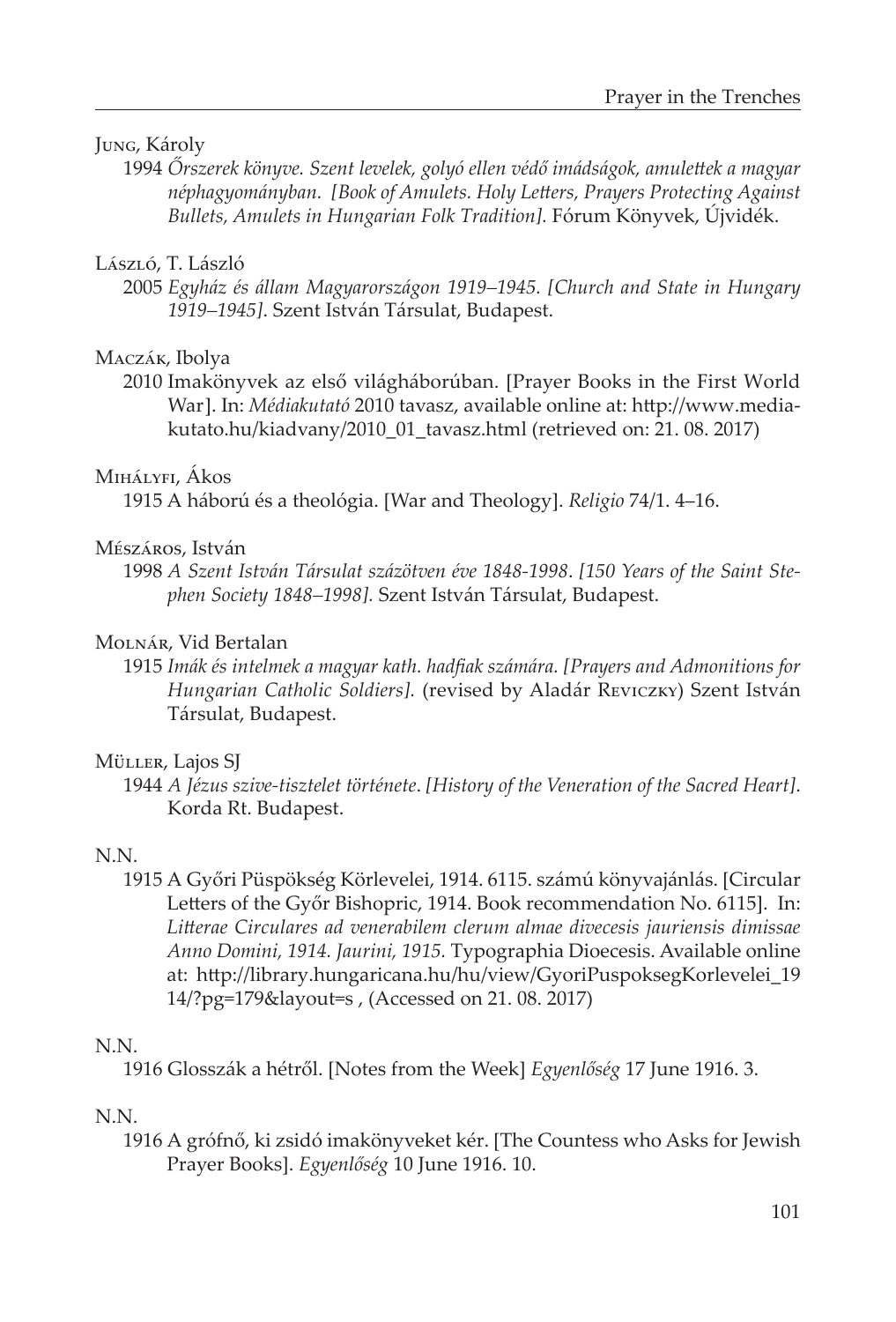### Jung, Károly

1994 *Őrszerek könyve. Szent levelek, golyó ellen védő imádságok, amulettek a magyar néphagyományban. [Book of Amulets. Holy Letters, Prayers Protecting Against Bullets, Amulets in Hungarian Folk Tradition].* Fórum Könyvek, Újvidék.

## László, T. László

2005 *Egyház és állam Magyarországon 1919–1945. [Church and State in Hungary 1919–1945]*. Szent István Társulat, Budapest.

### Maczák, Ibolya

2010 Imakönyvek az első világháborúban. [Prayer Books in the First World War]. In: *Médiakutató* 2010 tavasz, available online at: http://www.mediakutato.hu/kiadvany/2010\_01\_tavasz.html (retrieved on: 21. 08. 2017)

### Mihályfi, Ákos

1915 A háború és a theológia. [War and Theology]. *Religio* 74/1. 4–16.

### Mészáros, István

1998 *A Szent István Társulat százötven éve 1848-1998*. *[150 Years of the Saint Stephen Society 1848–1998].* Szent István Társulat, Budapest.

### Molnár, Vid Bertalan

1915 *Imák és intelmek a magyar kath. hadfiak számára. [Prayers and Admonitions for Hungarian Catholic Soldiers].* (revised by Aladár Reviczky) Szent István Társulat, Budapest.

### Müller, Lajos SJ

1944 *A Jézus szive-tisztelet története*. *[History of the Veneration of the Sacred Heart]*. Korda Rt. Budapest.

### N.N.

1915 A Győri Püspökség Körlevelei, 1914. 6115. számú könyvajánlás. [Circular Letters of the Győr Bishopric, 1914. Book recommendation No. 6115]. In: *Litterae Circulares ad venerabilem clerum almae divecesis jauriensis dimissae Anno Domini, 1914. Jaurini, 1915.* Typographia Dioecesis. Available online at: http://library.hungaricana.hu/hu/view/GyoriPuspoksegKorlevelei\_19 14/?pg=179&layout=s , (Accessed on 21. 08. 2017)

### N.N.

1916 Glosszák a hétről. [Notes from the Week] *Egyenlőség* 17 June 1916. 3.

### N.N.

1916 A grófnő, ki zsidó imakönyveket kér. [The Countess who Asks for Jewish Prayer Books]. *Egyenlőség* 10 June 1916. 10.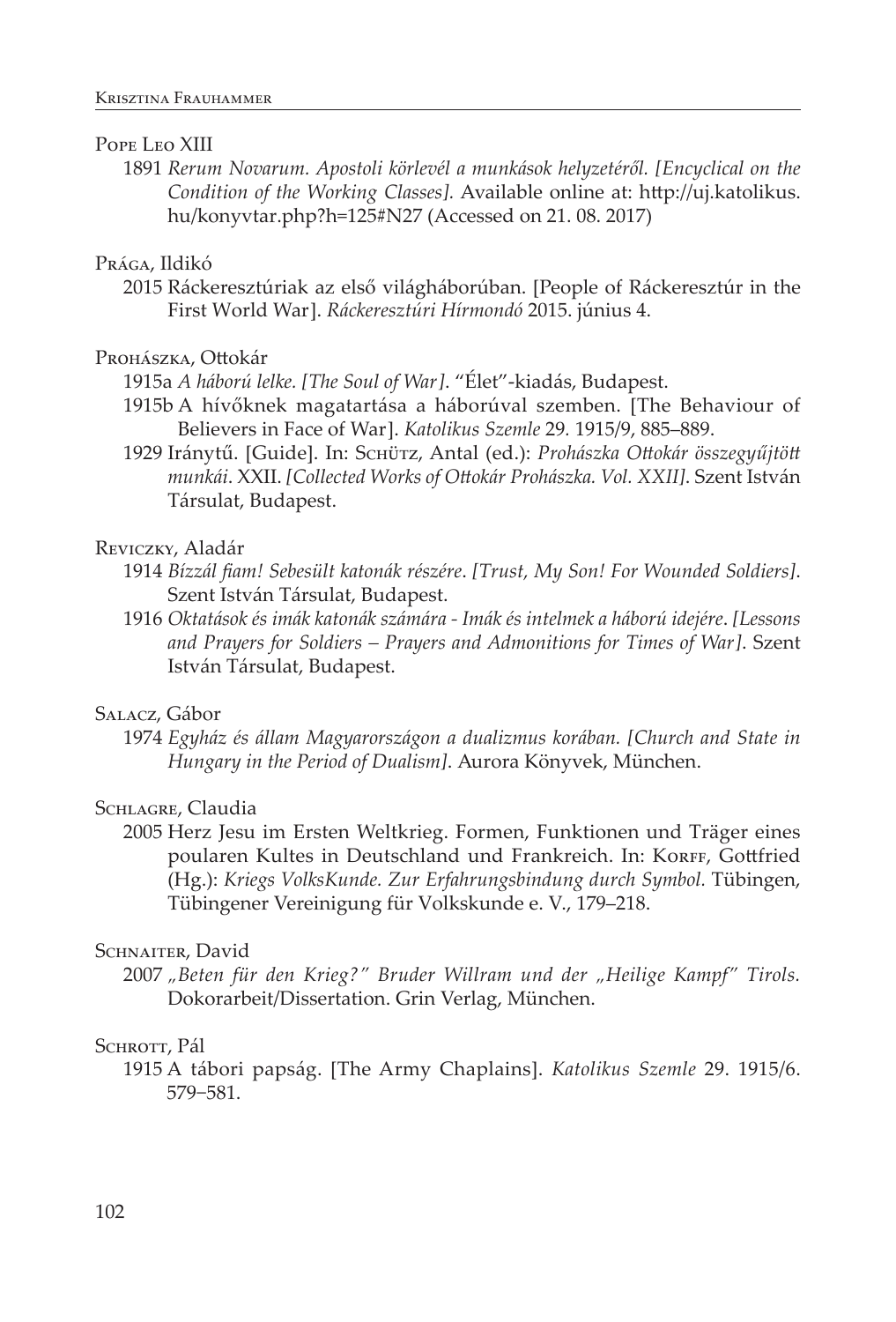#### POPE LEO XIII

1891 *Rerum Novarum. Apostoli körlevél a munkások helyzetéről. [Encyclical on the Condition of the Working Classes].* Available online at: http://uj.katolikus. hu/konyvtar.php?h=125#N27 (Accessed on 21. 08. 2017)

#### Prága, Ildikó

2015 Ráckeresztúriak az első világháborúban. [People of Ráckeresztúr in the First World War]. *Ráckeresztúri Hírmondó* 2015. június 4.

#### Prohászka, Ottokár

- 1915a *A háború lelke. [The Soul of War]*. "Élet"-kiadás, Budapest.
- 1915b A hívőknek magatartása a háborúval szemben. [The Behaviour of Believers in Face of War]. *Katolikus Szemle* 29*.* 1915/9, 885–889.
- 1929 Iránytű. [Guide]. In: Schütz, Antal (ed.): *Prohászka Ottokár összegyűjtött munkái*. XXII. *[Collected Works of Ottokár Prohászka. Vol. XXII]*. Szent István Társulat, Budapest.

#### Reviczky, Aladár

- 1914 *Bízzál fiam! Sebesült katonák részére*. *[Trust, My Son! For Wounded Soldiers]*. Szent István Társulat, Budapest.
- 1916 *Oktatások és imák katonák számára Imák és intelmek a háború idejére*. *[Lessons and Prayers for Soldiers – Prayers and Admonitions for Times of War]*. Szent István Társulat, Budapest.

#### Salacz, Gábor

1974 *Egyház és állam Magyarországon a dualizmus korában. [Church and State in Hungary in the Period of Dualism]*. Aurora Könyvek, München.

## SCHLAGRE, Claudia

2005 Herz Jesu im Ersten Weltkrieg. Formen, Funktionen und Träger eines poularen Kultes in Deutschland und Frankreich. In: KORFF, Gottfried (Hg.): *Kriegs VolksKunde. Zur Erfahrungsbindung durch Symbol.* Tübingen, Tübingener Vereinigung für Volkskunde e. V., 179–218.

#### SCHNAITER, David

2007 *"Beten für den Krieg?" Bruder Willram und der "Heilige Kampf" Tirols.* Dokorarbeit/Dissertation. Grin Verlag, München.

#### SCHROTT, Pál

1915 A tábori papság. [The Army Chaplains]. *Katolikus Szemle* 29. 1915/6. 579−581.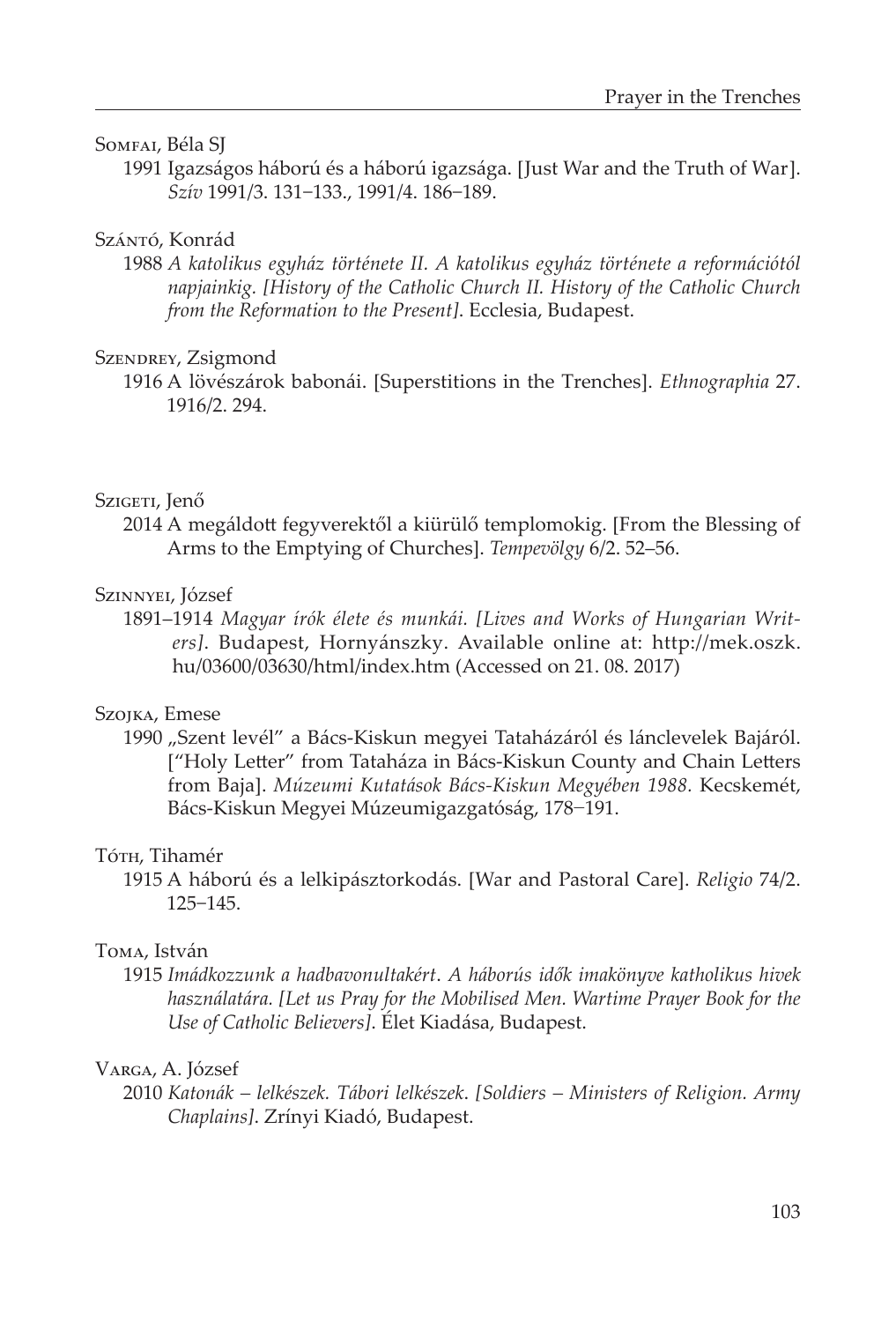#### Somfai, Béla SJ

1991 Igazságos háború és a háború igazsága. [Just War and the Truth of War]. *Szív* 1991/3. 131−133., 1991/4. 186−189.

### Szántó, Konrád

1988 *A katolikus egyház története II. A katolikus egyház története a reformációtól napjainkig. [History of the Catholic Church II. History of the Catholic Church from the Reformation to the Present]*. Ecclesia, Budapest.

#### SzENDREY, Zsigmond

1916 A lövészárok babonái. [Superstitions in the Trenches]. *Ethnographia* 27. 1916/2. 294.

#### Szigeti, Jenő

2014 A megáldott fegyverektől a kiürülő templomokig. [From the Blessing of Arms to the Emptying of Churches]. *Tempevölgy* 6/2. 52–56.

#### Szinnyei, József

1891–1914 *Magyar írók élete és munkái. [Lives and Works of Hungarian Writers]*. Budapest, Hornyánszky. Available online at: http://mek.oszk. hu/03600/03630/html/index.htm (Accessed on 21. 08. 2017)

#### Szojka, Emese

1990 "Szent levél" a Bács-Kiskun megyei Tataházáról és lánclevelek Bajáról. ["Holy Letter" from Tataháza in Bács-Kiskun County and Chain Letters from Baja]. *Múzeumi Kutatások Bács-Kiskun Megyében 1988.* Kecskemét, Bács-Kiskun Megyei Múzeumigazgatóság, 178−191.

#### Tóth, Tihamér

1915 A háború és a lelkipásztorkodás. [War and Pastoral Care]. *Religio* 74/2. 125−145.

#### Toma, István

1915 *Imádkozzunk a hadbavonultakért*. *A háborús idők imakönyve katholikus hivek használatára. [Let us Pray for the Mobilised Men. Wartime Prayer Book for the Use of Catholic Believers]*. Élet Kiadása, Budapest.

### Varga, A. József

2010 *Katonák – lelkészek. Tábori lelkészek*. *[Soldiers – Ministers of Religion. Army Chaplains]*. Zrínyi Kiadó, Budapest.